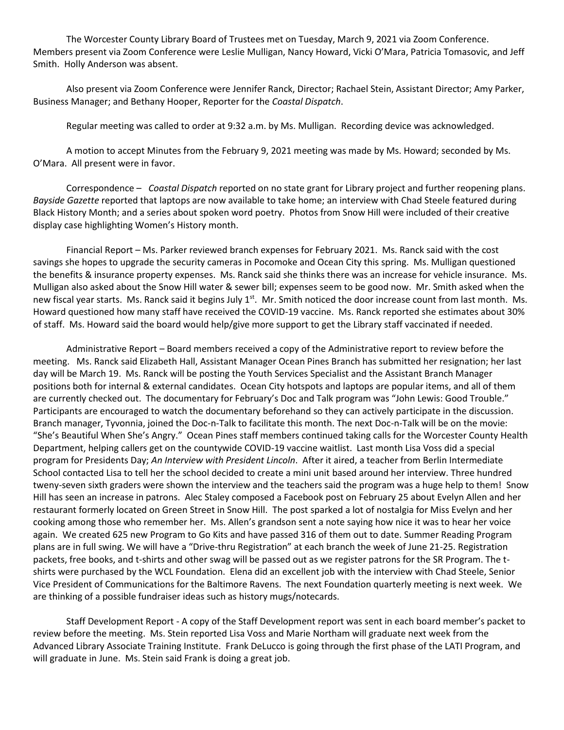The Worcester County Library Board of Trustees met on Tuesday, March 9, 2021 via Zoom Conference. Members present via Zoom Conference were Leslie Mulligan, Nancy Howard, Vicki O'Mara, Patricia Tomasovic, and Jeff Smith. Holly Anderson was absent.

Also present via Zoom Conference were Jennifer Ranck, Director; Rachael Stein, Assistant Director; Amy Parker, Business Manager; and Bethany Hooper, Reporter for the *Coastal Dispatch*.

Regular meeting was called to order at 9:32 a.m. by Ms. Mulligan. Recording device was acknowledged.

A motion to accept Minutes from the February 9, 2021 meeting was made by Ms. Howard; seconded by Ms. O'Mara. All present were in favor.

Correspondence – *Coastal Dispatch* reported on no state grant for Library project and further reopening plans. *Bayside Gazette* reported that laptops are now available to take home; an interview with Chad Steele featured during Black History Month; and a series about spoken word poetry. Photos from Snow Hill were included of their creative display case highlighting Women's History month.

Financial Report – Ms. Parker reviewed branch expenses for February 2021. Ms. Ranck said with the cost savings she hopes to upgrade the security cameras in Pocomoke and Ocean City this spring. Ms. Mulligan questioned the benefits & insurance property expenses. Ms. Ranck said she thinks there was an increase for vehicle insurance. Ms. Mulligan also asked about the Snow Hill water & sewer bill; expenses seem to be good now. Mr. Smith asked when the new fiscal year starts. Ms. Ranck said it begins July  $1<sup>st</sup>$ . Mr. Smith noticed the door increase count from last month. Ms. Howard questioned how many staff have received the COVID-19 vaccine. Ms. Ranck reported she estimates about 30% of staff. Ms. Howard said the board would help/give more support to get the Library staff vaccinated if needed.

Administrative Report – Board members received a copy of the Administrative report to review before the meeting. Ms. Ranck said Elizabeth Hall, Assistant Manager Ocean Pines Branch has submitted her resignation; her last day will be March 19. Ms. Ranck will be posting the Youth Services Specialist and the Assistant Branch Manager positions both for internal & external candidates. Ocean City hotspots and laptops are popular items, and all of them are currently checked out. The documentary for February's Doc and Talk program was "John Lewis: Good Trouble." Participants are encouraged to watch the documentary beforehand so they can actively participate in the discussion. Branch manager, Tyvonnia, joined the Doc-n-Talk to facilitate this month. The next Doc-n-Talk will be on the movie: "She's Beautiful When She's Angry." Ocean Pines staff members continued taking calls for the Worcester County Health Department, helping callers get on the countywide COVID-19 vaccine waitlist. Last month Lisa Voss did a special program for Presidents Day; *An Interview with President Lincoln*. After it aired, a teacher from Berlin Intermediate School contacted Lisa to tell her the school decided to create a mini unit based around her interview. Three hundred tweny-seven sixth graders were shown the interview and the teachers said the program was a huge help to them! Snow Hill has seen an increase in patrons. Alec Staley composed a Facebook post on February 25 about Evelyn Allen and her restaurant formerly located on Green Street in Snow Hill. The post sparked a lot of nostalgia for Miss Evelyn and her cooking among those who remember her. Ms. Allen's grandson sent a note saying how nice it was to hear her voice again. We created 625 new Program to Go Kits and have passed 316 of them out to date. Summer Reading Program plans are in full swing. We will have a "Drive-thru Registration" at each branch the week of June 21-25. Registration packets, free books, and t-shirts and other swag will be passed out as we register patrons for the SR Program. The tshirts were purchased by the WCL Foundation. Elena did an excellent job with the interview with Chad Steele, Senior Vice President of Communications for the Baltimore Ravens. The next Foundation quarterly meeting is next week. We are thinking of a possible fundraiser ideas such as history mugs/notecards.

Staff Development Report - A copy of the Staff Development report was sent in each board member's packet to review before the meeting. Ms. Stein reported Lisa Voss and Marie Northam will graduate next week from the Advanced Library Associate Training Institute. Frank DeLucco is going through the first phase of the LATI Program, and will graduate in June. Ms. Stein said Frank is doing a great job.